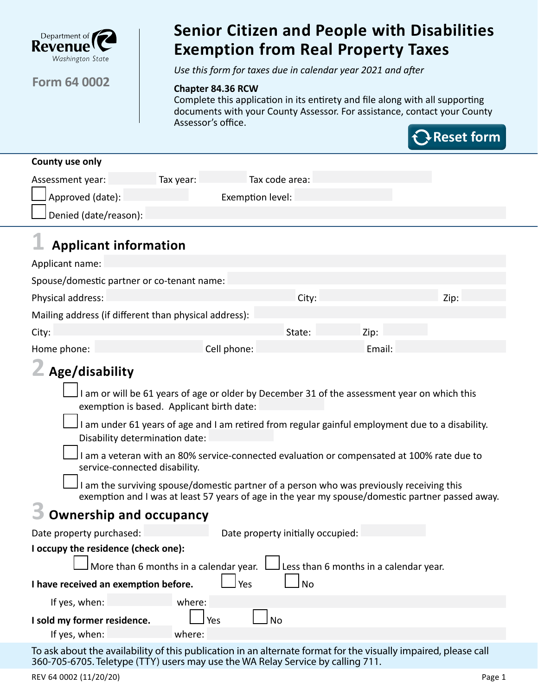

## **Form 64 0002**

## Senior Citizen and People with Disabilities Exemption from Real Property Taxes **Senior Citizen and People with Disabilities Exemption from Real Property Taxes**

*Use this form for taxes due in calendar year 2021 and after*

#### **Chapter 84.36 RCW**

Complete this application in its entirety and file along with all supporting documents with your County Assessor. For assistance, contact your County Assessor's office.



| County use only         |           |                  |  |
|-------------------------|-----------|------------------|--|
| Assessment year:        | Tax year: | Tax code area:   |  |
| $\Box$ Approved (date): |           | Exemption level: |  |
| JDenied (date/reason):  |           |                  |  |

# **1 Applicant information**

| Applicant name:                                       |             |        |        |      |
|-------------------------------------------------------|-------------|--------|--------|------|
| Spouse/domestic partner or co-tenant name:            |             |        |        |      |
| Physical address:                                     |             | City:  |        | Zip: |
| Mailing address (if different than physical address): |             |        |        |      |
| City:                                                 |             | State: | Zip:   |      |
| Home phone:                                           | Cell phone: |        | Email: |      |

## **2 Age/disability**

 I am or will be 61 years of age or older by December 31 of the assessment year on which this exemption is based. Applicant birth date:

 I am under 61 years of age and I am retired from regular gainful employment due to a disability. Disability determination date:

 I am a veteran with an 80% service-connected evaluation or compensated at 100% rate due to service-connected disability.

 I am the surviving spouse/domestic partner of a person who was previously receiving this exemption and I was at least 57 years of age in the year my spouse/domestic partner passed away.

## **3 Ownership and occupancy**

| Date property purchased:                          | Date property initially occupied:                                                           |  |  |  |
|---------------------------------------------------|---------------------------------------------------------------------------------------------|--|--|--|
| I occupy the residence (check one):               |                                                                                             |  |  |  |
|                                                   | $\Box$ More than 6 months in a calendar year. $\Box$ Less than 6 months in a calendar year. |  |  |  |
| I have received an exemption before.<br>Yes<br>No |                                                                                             |  |  |  |
| If yes, when:                                     | where:                                                                                      |  |  |  |
| I sold my former residence.                       | Yes                                                                                         |  |  |  |
| If yes, when:                                     | where:                                                                                      |  |  |  |

To ask about the availability of this publication in an alternate format for the visually impaired, please call 360-705-6705. Teletype (TTY) users may use the WA Relay Service by calling 711.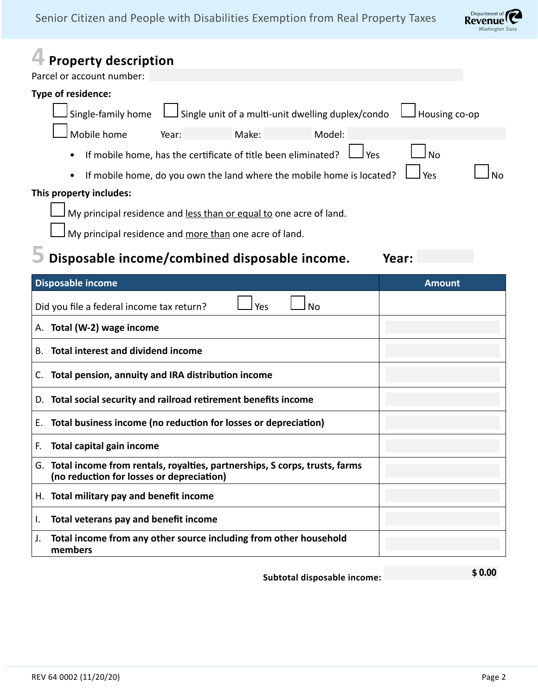

| Parcel or account number: | <b>Property description</b>               |                                           |                                                                               |                             |                  |               |
|---------------------------|-------------------------------------------|-------------------------------------------|-------------------------------------------------------------------------------|-----------------------------|------------------|---------------|
| Type of residence:        |                                           |                                           |                                                                               |                             |                  |               |
|                           | Single-family home                        |                                           | Single unit of a multi-unit dwelling duplex/condo                             |                             |                  | Housing co-op |
|                           | Mobile home                               | Year:                                     | Make:                                                                         | Model:                      |                  |               |
| ٠                         |                                           |                                           | If mobile home, has the certificate of title been eliminated?                 |                             | Yes<br><b>No</b> |               |
| ٠                         |                                           |                                           | If mobile home, do you own the land where the mobile home is located?         |                             | Yes              | <b>No</b>     |
| This property includes:   |                                           |                                           |                                                                               |                             |                  |               |
|                           |                                           |                                           | My principal residence and less than or equal to one acre of land.            |                             |                  |               |
|                           |                                           |                                           | My principal residence and more than one acre of land.                        |                             |                  |               |
|                           |                                           |                                           | Disposable income/combined disposable income.                                 |                             | Year:            |               |
| <b>Disposable income</b>  |                                           |                                           |                                                                               |                             | <b>Amount</b>    |               |
|                           | Did you file a federal income tax return? |                                           | Yes                                                                           | No                          |                  |               |
| А.                        | Total (W-2) wage income                   |                                           |                                                                               |                             |                  |               |
| В.                        | <b>Total interest and dividend income</b> |                                           |                                                                               |                             |                  |               |
| C.                        |                                           |                                           | Total pension, annuity and IRA distribution income                            |                             |                  |               |
| D.                        |                                           |                                           | Total social security and railroad retirement benefits income                 |                             |                  |               |
| Ε.                        |                                           |                                           | Total business income (no reduction for losses or depreciation)               |                             |                  |               |
| F.                        | <b>Total capital gain income</b>          |                                           |                                                                               |                             |                  |               |
|                           |                                           | (no reduction for losses or depreciation) | G. Total income from rentals, royalties, partnerships, S corps, trusts, farms |                             |                  |               |
|                           |                                           | H. Total military pay and benefit income  |                                                                               |                             |                  |               |
| ı.                        |                                           | Total veterans pay and benefit income     |                                                                               |                             |                  |               |
| J.<br>members             |                                           |                                           | Total income from any other source including from other household             |                             |                  |               |
|                           |                                           |                                           |                                                                               | Subtotal disposable income: |                  | \$0.00        |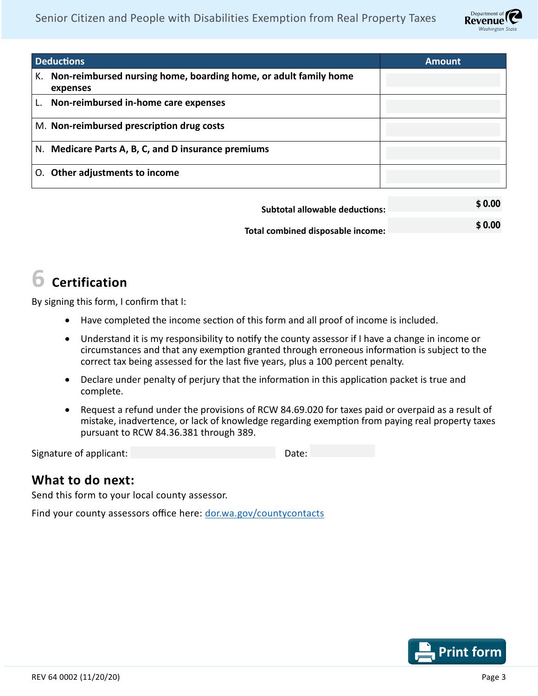

| <b>Deductions</b>                                                                  | <b>Amount</b> |
|------------------------------------------------------------------------------------|---------------|
| Non-reimbursed nursing home, boarding home, or adult family home<br>К.<br>expenses |               |
| Non-reimbursed in-home care expenses                                               |               |
| M. Non-reimbursed prescription drug costs                                          |               |
| N. Medicare Parts A, B, C, and D insurance premiums                                |               |
| Other adjustments to income                                                        |               |

| Subtotal allowable deductions:    | \$0.00 |
|-----------------------------------|--------|
| Total combined disposable income: | \$0.00 |

## **6 Certification**

By signing this form, I confirm that I:

- Have completed the income section of this form and all proof of income is included.
- Understand it is my responsibility to notify the county assessor if I have a change in income or circumstances and that any exemption granted through erroneous information is subject to the correct tax being assessed for the last five years, plus a 100 percent penalty.
- Declare under penalty of perjury that the information in this application packet is true and complete.
- Request a refund under the provisions of RCW 84.69.020 for taxes paid or overpaid as a result of mistake, inadvertence, or lack of knowledge regarding exemption from paying real property taxes pursuant to RCW 84.36.381 through 389.

| Signature of applicant: |  | Date: |
|-------------------------|--|-------|
|-------------------------|--|-------|

## **What to do next:**

Send this form to your local county assessor.

Find your county assessors office here: [dor.wa.gov/countycontacts](http://dor.wa.gov/countycontacts)

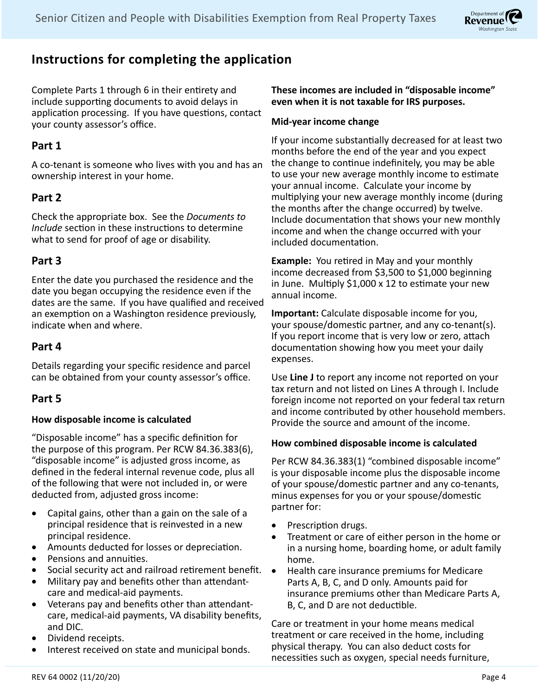

## **Instructions for completing the application**

Complete Parts 1 through 6 in their entirety and include supporting documents to avoid delays in application processing. If you have questions, contact your county assessor's office.

## **Part 1**

A co-tenant is someone who lives with you and has an ownership interest in your home.

## **Part 2**

Check the appropriate box. See the *Documents to Include* section in these instructions to determine what to send for proof of age or disability.

## **Part 3**

Enter the date you purchased the residence and the date you began occupying the residence even if the dates are the same. If you have qualified and received an exemption on a Washington residence previously, indicate when and where.

### **Part 4**

Details regarding your specific residence and parcel can be obtained from your county assessor's office.

### **Part 5**

#### **How disposable income is calculated**

"Disposable income" has a specific definition for the purpose of this program. Per RCW 84.36.383(6), "disposable income" is adjusted gross income, as defined in the federal internal revenue code, plus all of the following that were not included in, or were deducted from, adjusted gross income:

- Capital gains, other than a gain on the sale of a principal residence that is reinvested in a new principal residence.
- Amounts deducted for losses or depreciation.
- Pensions and annuities.
- Social security act and railroad retirement benefit.
- Military pay and benefits other than attendantcare and medical-aid payments.
- Veterans pay and benefits other than attendantcare, medical-aid payments, VA disability benefits, and DIC.
- Dividend receipts.
- Interest received on state and municipal bonds.

#### **These incomes are included in "disposable income" even when it is not taxable for IRS purposes.**

#### **Mid-year income change**

If your income substantially decreased for at least two months before the end of the year and you expect the change to continue indefinitely, you may be able to use your new average monthly income to estimate your annual income. Calculate your income by multiplying your new average monthly income (during the months after the change occurred) by twelve. Include documentation that shows your new monthly income and when the change occurred with your included documentation.

**Example:** You retired in May and your monthly income decreased from \$3,500 to \$1,000 beginning in June. Multiply \$1,000 x 12 to estimate your new annual income.

**Important:** Calculate disposable income for you, your spouse/domestic partner, and any co-tenant(s). If you report income that is very low or zero, attach documentation showing how you meet your daily expenses.

Use **Line J** to report any income not reported on your tax return and not listed on Lines A through I. Include foreign income not reported on your federal tax return and income contributed by other household members. Provide the source and amount of the income.

#### **How combined disposable income is calculated**

Per RCW 84.36.383(1) "combined disposable income" is your disposable income plus the disposable income of your spouse/domestic partner and any co-tenants, minus expenses for you or your spouse/domestic partner for:

- Prescription drugs.
- Treatment or care of either person in the home or in a nursing home, boarding home, or adult family home.
- • Health care insurance premiums for Medicare Parts A, B, C, and D only. Amounts paid for insurance premiums other than Medicare Parts A, B, C, and D are not deductible.

Care or treatment in your home means medical treatment or care received in the home, including physical therapy. You can also deduct costs for necessities such as oxygen, special needs furniture,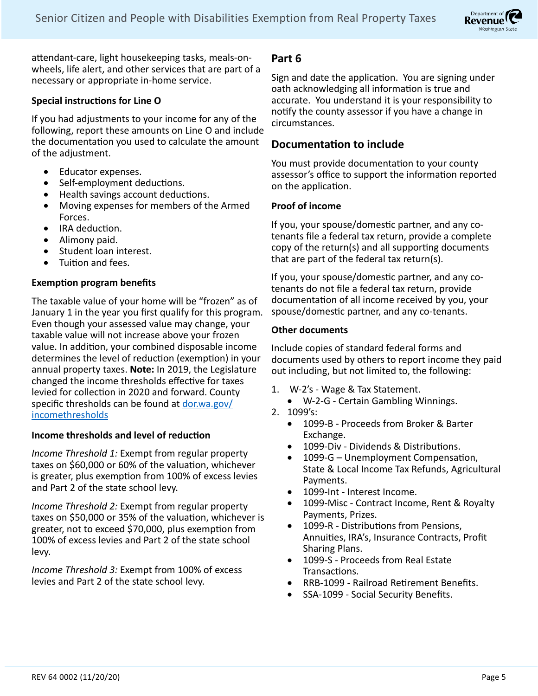

attendant-care, light housekeeping tasks, meals-onwheels, life alert, and other services that are part of a necessary or appropriate in-home service.

#### **Special instructions for Line O**

If you had adjustments to your income for any of the following, report these amounts on Line O and include the documentation you used to calculate the amount of the adjustment.

- • Educator expenses.
- Self-employment deductions.
- Health savings account deductions.
- Moving expenses for members of the Armed Forces.
- IRA deduction.
- Alimony paid.
- • Student loan interest.
- • Tuition and fees.

#### **Exemption program benefits**

The taxable value of your home will be "frozen" as of January 1 in the year you first qualify for this program. Even though your assessed value may change, your taxable value will not increase above your frozen value. In addition, your combined disposable income determines the level of reduction (exemption) in your annual property taxes. **Note:** In 2019, the Legislature changed the income thresholds effective for taxes levied for collection in 2020 and forward. County specific thresholds can be found at [dor.wa.gov/](http://www.dor.wa.gov/incomethresholds) [incomethresholds](http://www.dor.wa.gov/incomethresholds)

#### **Income thresholds and level of reduction**

*Income Threshold 1:* Exempt from regular property taxes on \$60,000 or 60% of the valuation, whichever is greater, plus exemption from 100% of excess levies and Part 2 of the state school levy.

*Income Threshold 2:* Exempt from regular property taxes on \$50,000 or 35% of the valuation, whichever is greater, not to exceed \$70,000, plus exemption from 100% of excess levies and Part 2 of the state school levy.

*Income Threshold 3:* Exempt from 100% of excess levies and Part 2 of the state school levy.

#### **Part 6**

Sign and date the application. You are signing under oath acknowledging all information is true and accurate. You understand it is your responsibility to notify the county assessor if you have a change in circumstances.

#### **Documentation to include**

You must provide documentation to your county assessor's office to support the information reported on the application.

#### **Proof of income**

If you, your spouse/domestic partner, and any cotenants file a federal tax return, provide a complete copy of the return(s) and all supporting documents that are part of the federal tax return(s).

If you, your spouse/domestic partner, and any cotenants do not file a federal tax return, provide documentation of all income received by you, your spouse/domestic partner, and any co-tenants.

#### **Other documents**

Include copies of standard federal forms and documents used by others to report income they paid out including, but not limited to, the following:

- 1. W-2's Wage & Tax Statement.
	- • W-2-G Certain Gambling Winnings.
- 2. 1099's:
	- • 1099-B Proceeds from Broker & Barter Exchange.
	- 1099-Div Dividends & Distributions.
	- 1099-G Unemployment Compensation, State & Local Income Tax Refunds, Agricultural Payments.
	- 1099-Int Interest Income.
	- 1099-Misc Contract Income, Rent & Royalty Payments, Prizes.
	- 1099-R Distributions from Pensions, Annuities, IRA's, Insurance Contracts, Profit Sharing Plans.
	- 1099-S Proceeds from Real Estate Transactions.
	- • RRB-1099 Railroad Retirement Benefits.
	- • SSA-1099 Social Security Benefits.